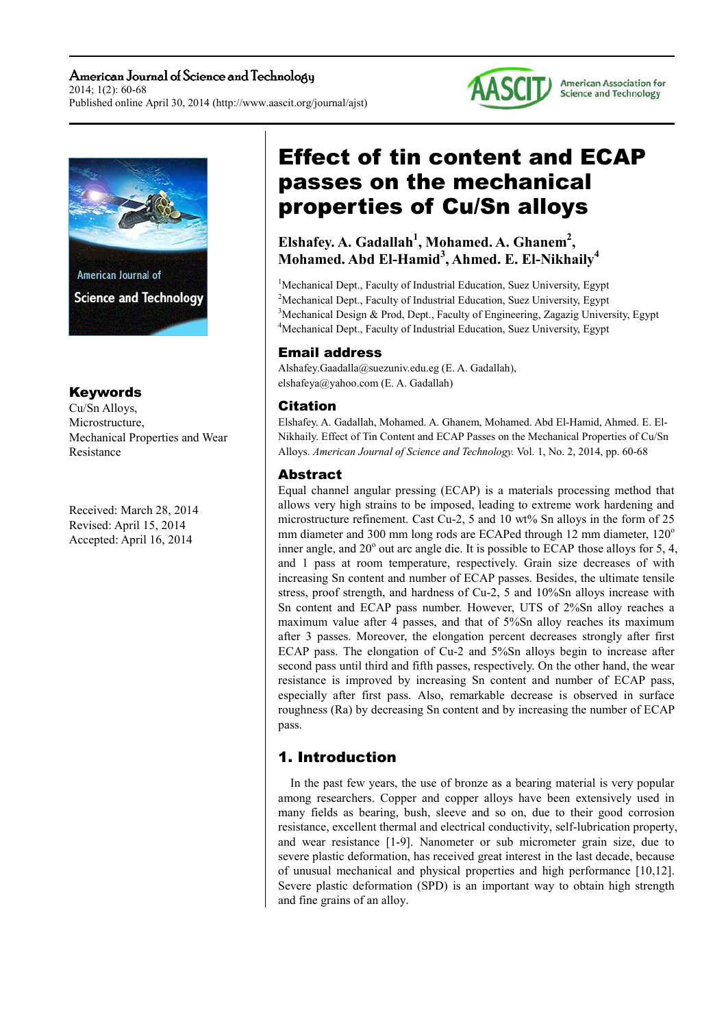



## Keywords

Cu/Sn Alloys, Microstructure, Mechanical Properties and Wear Resistance

Received: March 28, 2014 Revised: April 15, 2014 Accepted: April 16, 2014

# Effect of tin content and ECAP passes on the mechanical properties of Cu/Sn alloys

## **Elshafey. A. Gadallah<sup>1</sup> , Mohamed. A. Ghanem<sup>2</sup> , Mohamed. Abd El-Hamid<sup>3</sup> , Ahmed. E. El-Nikhaily<sup>4</sup>**

<sup>1</sup>Mechanical Dept., Faculty of Industrial Education, Suez University, Egypt <sup>2</sup>Mechanical Dept., Faculty of Industrial Education, Suez University, Egypt <sup>3</sup>Mechanical Design & Prod, Dept., Faculty of Engineering, Zagazig University, Egypt <sup>4</sup>Mechanical Dept., Faculty of Industrial Education, Suez University, Egypt

## Email address

Alshafey.Gaadalla@suezuniv.edu.eg (E. A. Gadallah), elshafeya@yahoo.com (E. A. Gadallah)

## Citation

Elshafey. A. Gadallah, Mohamed. A. Ghanem, Mohamed. Abd El-Hamid, Ahmed. E. El-Nikhaily. Effect of Tin Content and ECAP Passes on the Mechanical Properties of Cu/Sn Alloys. *American Journal of Science and Technology.* Vol. 1, No. 2, 2014, pp. 60-68

## Abstract

Equal channel angular pressing (ECAP) is a materials processing method that allows very high strains to be imposed, leading to extreme work hardening and microstructure refinement. Cast Cu-2, 5 and 10 wt% Sn alloys in the form of 25 mm diameter and 300 mm long rods are ECAPed through 12 mm diameter,  $120^\circ$ inner angle, and  $20^{\circ}$  out arc angle die. It is possible to ECAP those alloys for 5, 4, and 1 pass at room temperature, respectively. Grain size decreases of with increasing Sn content and number of ECAP passes. Besides, the ultimate tensile stress, proof strength, and hardness of Cu-2, 5 and 10%Sn alloys increase with Sn content and ECAP pass number. However, UTS of 2%Sn alloy reaches a maximum value after 4 passes, and that of 5%Sn alloy reaches its maximum after 3 passes. Moreover, the elongation percent decreases strongly after first ECAP pass. The elongation of Cu-2 and 5%Sn alloys begin to increase after second pass until third and fifth passes, respectively. On the other hand, the wear resistance is improved by increasing Sn content and number of ECAP pass, especially after first pass. Also, remarkable decrease is observed in surface roughness (Ra) by decreasing Sn content and by increasing the number of ECAP pass.

# 1. Introduction

In the past few years, the use of bronze as a bearing material is very popular among researchers. Copper and copper alloys have been extensively used in many fields as bearing, bush, sleeve and so on, due to their good corrosion resistance, excellent thermal and electrical conductivity, self-lubrication property, and wear resistance [1-9]. Nanometer or sub micrometer grain size, due to severe plastic deformation, has received great interest in the last decade, because of unusual mechanical and physical properties and high performance [10,12]. Severe plastic deformation (SPD) is an important way to obtain high strength and fine grains of an alloy.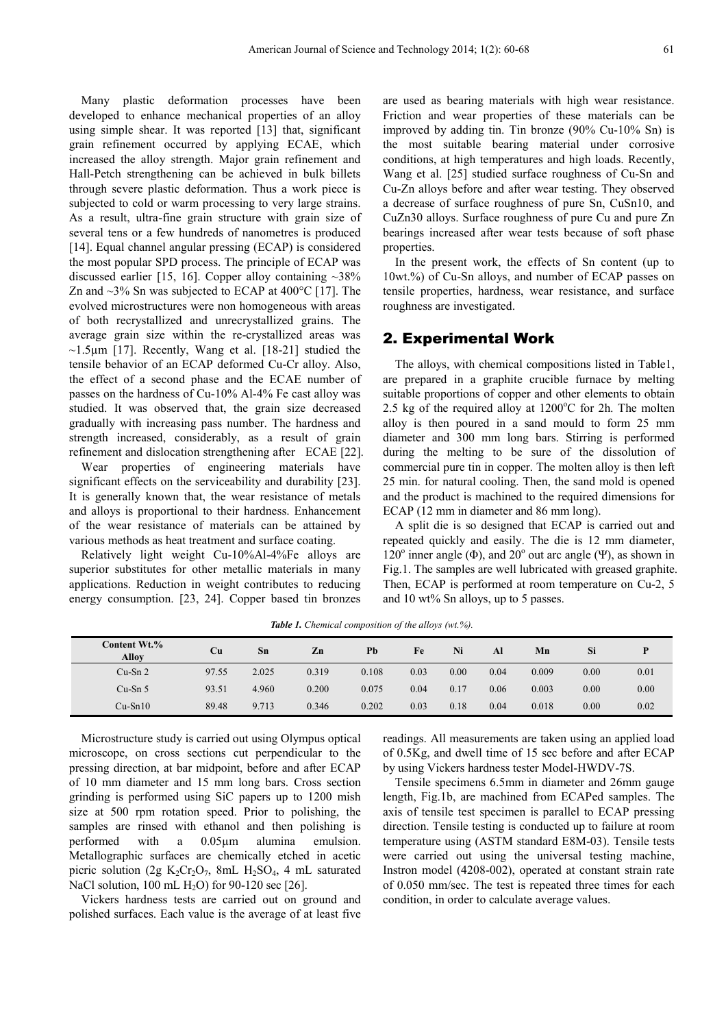Many plastic deformation processes have been developed to enhance mechanical properties of an alloy using simple shear. It was reported [13] that, significant grain refinement occurred by applying ECAE, which increased the alloy strength. Major grain refinement and Hall-Petch strengthening can be achieved in bulk billets through severe plastic deformation. Thus a work piece is subjected to cold or warm processing to very large strains. As a result, ultra-fine grain structure with grain size of several tens or a few hundreds of nanometres is produced [14]. Equal channel angular pressing (ECAP) is considered the most popular SPD process. The principle of ECAP was discussed earlier [15, 16]. Copper alloy containing  $\sim 38\%$ Zn and  $\sim$ 3% Sn was subjected to ECAP at 400 $^{\circ}$ C [17]. The evolved microstructures were non homogeneous with areas of both recrystallized and unrecrystallized grains. The average grain size within the re-crystallized areas was  $\sim$ 1.5 $\mu$ m [17]. Recently, Wang et al. [18-21] studied the tensile behavior of an ECAP deformed Cu-Cr alloy. Also, the effect of a second phase and the ECAE number of passes on the hardness of Cu-10% Al-4% Fe cast alloy was studied. It was observed that, the grain size decreased gradually with increasing pass number. The hardness and strength increased, considerably, as a result of grain refinement and dislocation strengthening after ECAE [22].

Wear properties of engineering materials have significant effects on the serviceability and durability [23]. It is generally known that, the wear resistance of metals and alloys is proportional to their hardness. Enhancement of the wear resistance of materials can be attained by various methods as heat treatment and surface coating.

Relatively light weight Cu-10%Al-4%Fe alloys are superior substitutes for other metallic materials in many applications. Reduction in weight contributes to reducing energy consumption. [23, 24]. Copper based tin bronzes are used as bearing materials with high wear resistance. Friction and wear properties of these materials can be improved by adding tin. Tin bronze (90% Cu-10% Sn) is the most suitable bearing material under corrosive conditions, at high temperatures and high loads. Recently, Wang et al. [25] studied surface roughness of Cu-Sn and Cu-Zn alloys before and after wear testing. They observed a decrease of surface roughness of pure Sn, CuSn10, and CuZn30 alloys. Surface roughness of pure Cu and pure Zn bearings increased after wear tests because of soft phase properties.

In the present work, the effects of Sn content (up to 10wt.%) of Cu-Sn alloys, and number of ECAP passes on tensile properties, hardness, wear resistance, and surface roughness are investigated.

#### 2. Experimental Work

The alloys, with chemical compositions listed in Table1, are prepared in a graphite crucible furnace by melting suitable proportions of copper and other elements to obtain 2.5 kg of the required alloy at  $1200^{\circ}$ C for 2h. The molten alloy is then poured in a sand mould to form 25 mm diameter and 300 mm long bars. Stirring is performed during the melting to be sure of the dissolution of commercial pure tin in copper. The molten alloy is then left 25 min. for natural cooling. Then, the sand mold is opened and the product is machined to the required dimensions for ECAP (12 mm in diameter and 86 mm long).

A split die is so designed that ECAP is carried out and repeated quickly and easily. The die is 12 mm diameter, 120 $^{\circ}$  inner angle ( $\Phi$ ), and 20 $^{\circ}$  out arc angle ( $\Psi$ ), as shown in Fig.1. The samples are well lubricated with greased graphite. Then, ECAP is performed at room temperature on Cu-2, 5 and 10 wt% Sn alloys, up to 5 passes.

| <b>Content Wt.%</b><br><b>Alloy</b> | Cu    | Sn    | Zn    | Pb    | Fe   | Ni   | Al   | Mn    | Si   |      |
|-------------------------------------|-------|-------|-------|-------|------|------|------|-------|------|------|
| $Cu-Sn2$                            | 97.55 | 2.025 | 0.319 | 0.108 | 0.03 | 0.00 | 0.04 | 0.009 | 0.00 | 0.01 |
| $Cu-Sn5$                            | 93.51 | 4.960 | 0.200 | 0.075 | 0.04 | 0.17 | 0.06 | 0.003 | 0.00 | 0.00 |
| $Cu-Sn10$                           | 89.48 | 9.713 | 0.346 | 0.202 | 0.03 | 0.18 | 0.04 | 0.018 | 0.00 | 0.02 |

*Table 1. Chemical composition of the alloys (wt.%).* 

Microstructure study is carried out using Olympus optical microscope, on cross sections cut perpendicular to the pressing direction, at bar midpoint, before and after ECAP of 10 mm diameter and 15 mm long bars. Cross section grinding is performed using SiC papers up to 1200 mish size at 500 rpm rotation speed. Prior to polishing, the samples are rinsed with ethanol and then polishing is performed with a 0.05µm alumina emulsion. Metallographic surfaces are chemically etched in acetic picric solution (2g K<sub>2</sub>Cr<sub>2</sub>O<sub>7</sub>, 8mL H<sub>2</sub>SO<sub>4</sub>, 4 mL saturated NaCl solution,  $100 \text{ mL H}_2\text{O}$  for  $90-120 \text{ sec}$  [26].

Vickers hardness tests are carried out on ground and polished surfaces. Each value is the average of at least five readings. All measurements are taken using an applied load of 0.5Kg, and dwell time of 15 sec before and after ECAP by using Vickers hardness tester Model-HWDV-7S.

Tensile specimens 6.5mm in diameter and 26mm gauge length, Fig.1b, are machined from ECAPed samples. The axis of tensile test specimen is parallel to ECAP pressing direction. Tensile testing is conducted up to failure at room temperature using (ASTM standard E8M-03). Tensile tests were carried out using the universal testing machine, Instron model (4208-002), operated at constant strain rate of 0.050 mm/sec. The test is repeated three times for each condition, in order to calculate average values.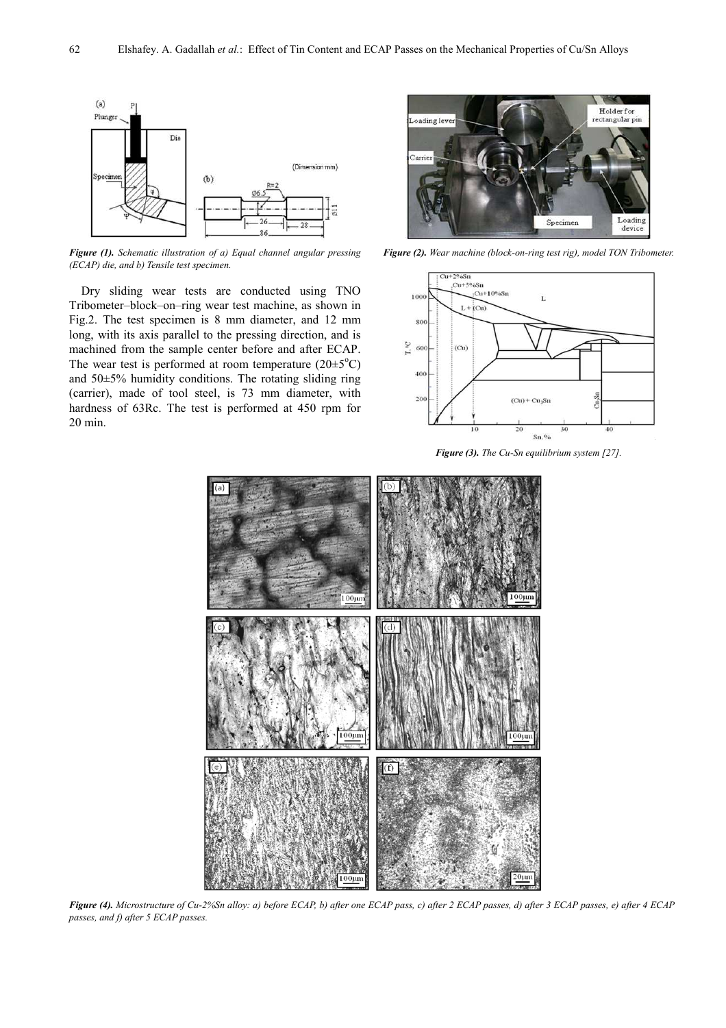

*Figure (1). Schematic illustration of a) Equal channel angular pressing (ECAP) die, and b) Tensile test specimen.* 

Dry sliding wear tests are conducted using TNO Tribometer–block–on–ring wear test machine, as shown in Fig.2. The test specimen is 8 mm diameter, and 12 mm long, with its axis parallel to the pressing direction, and is machined from the sample center before and after ECAP. The wear test is performed at room temperature  $(20 \pm 5^{\circ}C)$ and 50±5% humidity conditions. The rotating sliding ring (carrier), made of tool steel, is 73 mm diameter, with hardness of 63Rc. The test is performed at 450 rpm for 20 min.



*Figure (2). Wear machine (block-on-ring test rig), model TON Tribometer.* 



*Figure (3). The Cu-Sn equilibrium system [27].* 



*Figure (4). Microstructure of Cu-2%Sn alloy: a) before ECAP, b) after one ECAP pass, c) after 2 ECAP passes, d) after 3 ECAP passes, e) after 4 ECAP passes, and f) after 5 ECAP passes.*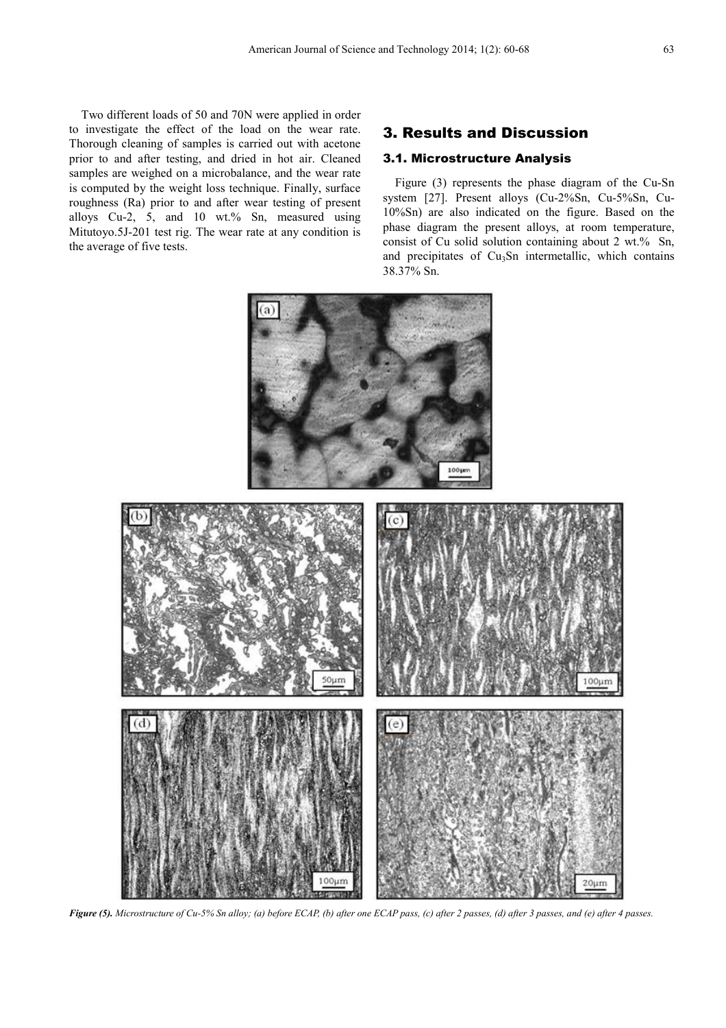Two different loads of 50 and 70N were applied in order to investigate the effect of the load on the wear rate. Thorough cleaning of samples is carried out with acetone prior to and after testing, and dried in hot air. Cleaned samples are weighed on a microbalance, and the wear rate is computed by the weight loss technique. Finally, surface roughness (Ra) prior to and after wear testing of present alloys Cu-2, 5, and 10 wt.% Sn, measured using Mitutoyo.5J-201 test rig. The wear rate at any condition is the average of five tests.

## 3. Results and Discussion

#### 3.1. Microstructure Analysis

Figure (3) represents the phase diagram of the Cu-Sn system [27]. Present alloys (Cu-2%Sn, Cu-5%Sn, Cu-10%Sn) are also indicated on the figure. Based on the phase diagram the present alloys, at room temperature, consist of Cu solid solution containing about 2 wt.% Sn, and precipitates of  $Cu<sub>3</sub>Sn$  intermetallic, which contains 38.37% Sn.



*Figure (5). Microstructure of Cu-5% Sn alloy; (a) before ECAP, (b) after one ECAP pass, (c) after 2 passes, (d) after 3 passes, and (e) after 4 passes.*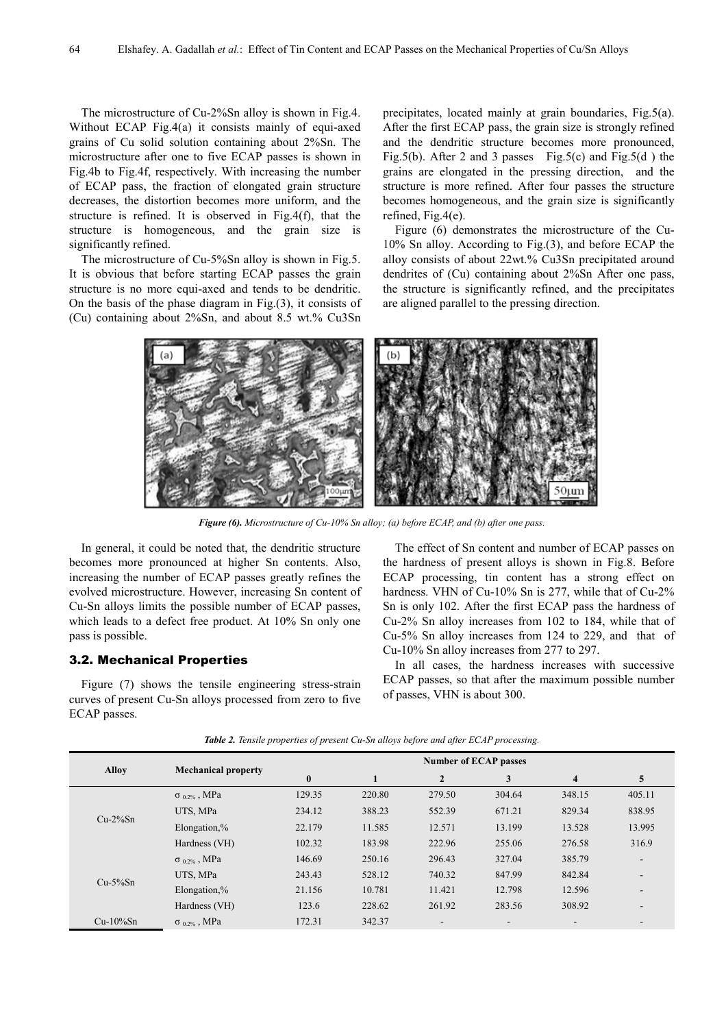The microstructure of Cu-2%Sn alloy is shown in Fig.4. Without ECAP Fig.4(a) it consists mainly of equi-axed grains of Cu solid solution containing about 2%Sn. The microstructure after one to five ECAP passes is shown in Fig.4b to Fig.4f, respectively. With increasing the number of ECAP pass, the fraction of elongated grain structure decreases, the distortion becomes more uniform, and the structure is refined. It is observed in Fig.4(f), that the structure is homogeneous, and the grain size is significantly refined.

The microstructure of Cu-5%Sn alloy is shown in Fig.5. It is obvious that before starting ECAP passes the grain structure is no more equi-axed and tends to be dendritic. On the basis of the phase diagram in Fig.(3), it consists of (Cu) containing about 2%Sn, and about 8.5 wt.% Cu3Sn

precipitates, located mainly at grain boundaries, Fig.5(a). After the first ECAP pass, the grain size is strongly refined and the dendritic structure becomes more pronounced, Fig.5(b). After 2 and 3 passes Fig.5(c) and Fig.5(d) the grains are elongated in the pressing direction, and the structure is more refined. After four passes the structure becomes homogeneous, and the grain size is significantly refined, Fig.4(e).

Figure (6) demonstrates the microstructure of the Cu-10% Sn alloy. According to Fig.(3), and before ECAP the alloy consists of about 22wt.% Cu3Sn precipitated around dendrites of (Cu) containing about 2%Sn After one pass, the structure is significantly refined, and the precipitates are aligned parallel to the pressing direction.



*Figure (6). Microstructure of Cu-10% Sn alloy; (a) before ECAP, and (b) after one pass.* 

In general, it could be noted that, the dendritic structure becomes more pronounced at higher Sn contents. Also, increasing the number of ECAP passes greatly refines the evolved microstructure. However, increasing Sn content of Cu-Sn alloys limits the possible number of ECAP passes, which leads to a defect free product. At 10% Sn only one pass is possible.

#### 3.2. Mechanical Properties

Figure (7) shows the tensile engineering stress-strain curves of present Cu-Sn alloys processed from zero to five ECAP passes.

The effect of Sn content and number of ECAP passes on the hardness of present alloys is shown in Fig.8. Before ECAP processing, tin content has a strong effect on hardness. VHN of Cu-10% Sn is 277, while that of Cu-2% Sn is only 102. After the first ECAP pass the hardness of Cu-2% Sn alloy increases from 102 to 184, while that of Cu-5% Sn alloy increases from 124 to 229, and that of Cu-10% Sn alloy increases from 277 to 297.

In all cases, the hardness increases with successive ECAP passes, so that after the maximum possible number of passes, VHN is about 300.

|              |                            | <b>Number of ECAP passes</b> |        |                |                          |                          |                          |  |
|--------------|----------------------------|------------------------------|--------|----------------|--------------------------|--------------------------|--------------------------|--|
| <b>Alloy</b> | <b>Mechanical property</b> | $\bf{0}$                     |        | $\overline{2}$ | 3                        | $\overline{\mathbf{4}}$  | 5                        |  |
| $Cu-2\%Sn$   | $\sigma_{0.2\%}$ , MPa     | 129.35                       | 220.80 | 279.50         | 304.64                   | 348.15                   | 405.11                   |  |
|              | UTS. MPa                   | 234.12                       | 388.23 | 552.39         | 671.21                   | 829.34                   | 838.95                   |  |
|              | Elongation,%               | 22.179                       | 11.585 | 12.571         | 13.199                   | 13.528                   | 13.995                   |  |
|              | Hardness (VH)              | 102.32                       | 183.98 | 222.96         | 255.06                   | 276.58                   | 316.9                    |  |
| $Cu-5\%Sn$   | $\sigma_{0.2\%}$ , MPa     | 146.69                       | 250.16 | 296.43         | 327.04                   | 385.79                   | $\blacksquare$           |  |
|              | UTS. MPa                   | 243.43                       | 528.12 | 740.32         | 847.99                   | 842.84                   | $\overline{\phantom{a}}$ |  |
|              | Elongation,%               | 21.156                       | 10.781 | 11.421         | 12.798                   | 12.596                   | $\overline{\phantom{a}}$ |  |
|              | Hardness (VH)              | 123.6                        | 228.62 | 261.92         | 283.56                   | 308.92                   | $\overline{\phantom{a}}$ |  |
| $Cu-10\%Sn$  | $\sigma_{0.2\%}$ , MPa     | 172.31                       | 342.37 |                | $\overline{\phantom{a}}$ | $\overline{\phantom{a}}$ |                          |  |

*Table 2. Tensile properties of present Cu-Sn alloys before and after ECAP processing.*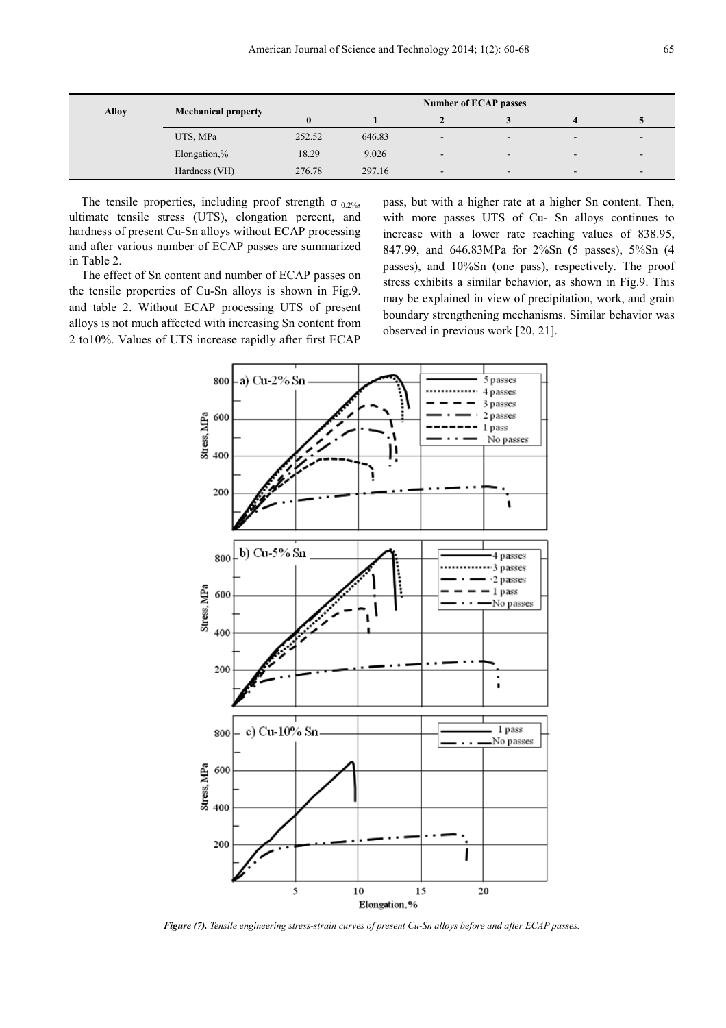| <b>Alloy</b> |                            | <b>Number of ECAP passes</b> |        |   |                          |                          |                          |  |
|--------------|----------------------------|------------------------------|--------|---|--------------------------|--------------------------|--------------------------|--|
|              | <b>Mechanical property</b> | $\bf{0}$                     |        |   |                          |                          |                          |  |
|              | UTS, MPa                   | 252.52                       | 646.83 |   | $\overline{\phantom{0}}$ | $\overline{\phantom{0}}$ | $\overline{\phantom{a}}$ |  |
|              | Elongation,%               | 18.29                        | 9.026  | - | $\overline{\phantom{a}}$ | $\blacksquare$           | $\overline{\phantom{a}}$ |  |
|              | Hardness (VH)              | 276.78                       | 297.16 | - | $\overline{\phantom{a}}$ | $\overline{\phantom{0}}$ | $\overline{\phantom{a}}$ |  |

The tensile properties, including proof strength  $\sigma_{0.2\%}$ , ultimate tensile stress (UTS), elongation percent, and hardness of present Cu-Sn alloys without ECAP processing and after various number of ECAP passes are summarized in Table 2.

The effect of Sn content and number of ECAP passes on the tensile properties of Cu-Sn alloys is shown in Fig.9. and table 2. Without ECAP processing UTS of present alloys is not much affected with increasing Sn content from 2 to10%. Values of UTS increase rapidly after first ECAP pass, but with a higher rate at a higher Sn content. Then, with more passes UTS of Cu- Sn alloys continues to increase with a lower rate reaching values of 838.95, 847.99, and 646.83MPa for 2%Sn (5 passes), 5%Sn (4 passes), and 10%Sn (one pass), respectively. The proof stress exhibits a similar behavior, as shown in Fig.9. This may be explained in view of precipitation, work, and grain boundary strengthening mechanisms. Similar behavior was observed in previous work [20, 21].



*Figure (7). Tensile engineering stress-strain curves of present Cu-Sn alloys before and after ECAP passes.*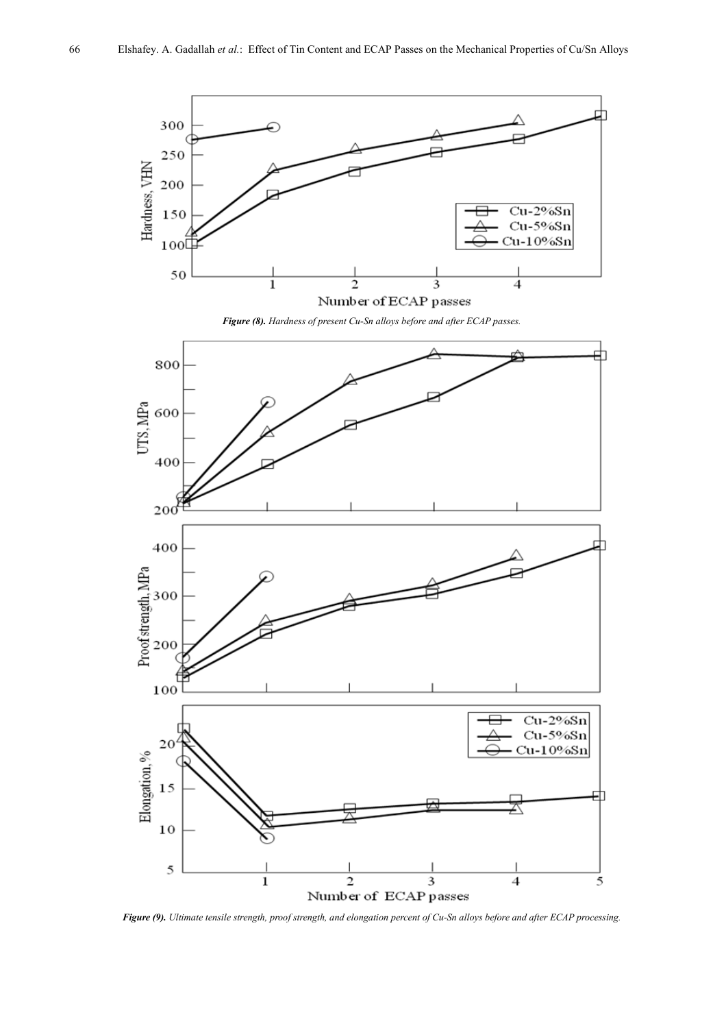

*Figure (9). Ultimate tensile strength, proof strength, and elongation percent of Cu-Sn alloys before and after ECAP processing.*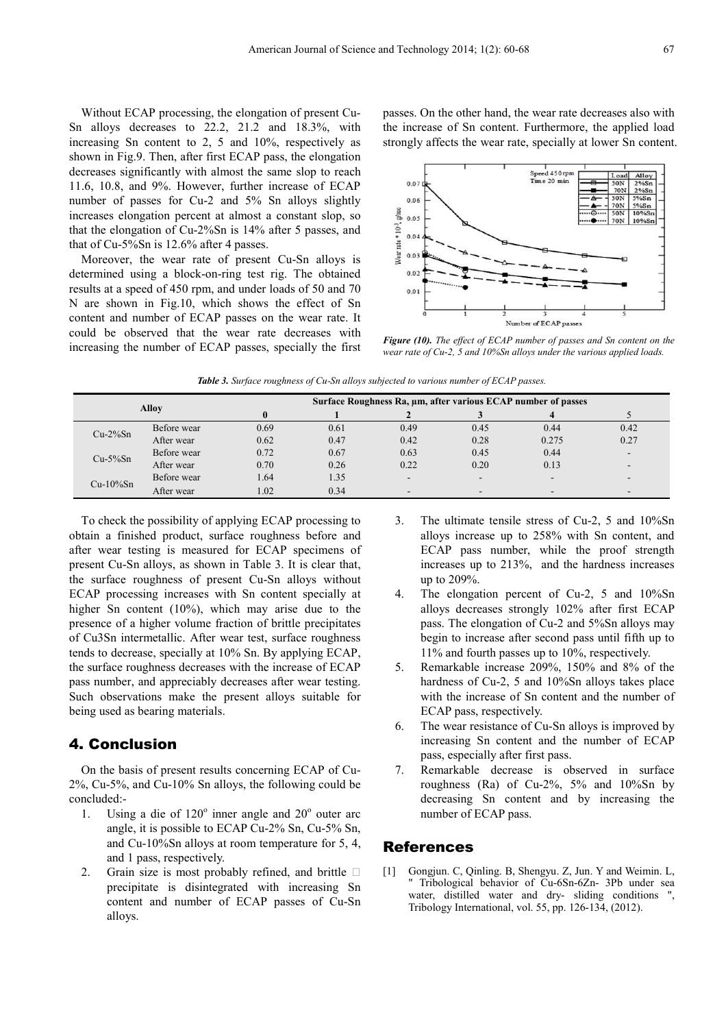Without ECAP processing, the elongation of present Cu-Sn alloys decreases to 22.2, 21.2 and 18.3%, with increasing Sn content to 2, 5 and 10%, respectively as shown in Fig.9. Then, after first ECAP pass, the elongation decreases significantly with almost the same slop to reach 11.6, 10.8, and 9%. However, further increase of ECAP number of passes for Cu-2 and 5% Sn alloys slightly increases elongation percent at almost a constant slop, so that the elongation of Cu-2%Sn is 14% after 5 passes, and that of Cu-5%Sn is 12.6% after 4 passes.

Moreover, the wear rate of present Cu-Sn alloys is determined using a block-on-ring test rig. The obtained results at a speed of 450 rpm, and under loads of 50 and 70 N are shown in Fig.10, which shows the effect of Sn content and number of ECAP passes on the wear rate. It could be observed that the wear rate decreases with increasing the number of ECAP passes, specially the first passes. On the other hand, the wear rate decreases also with the increase of Sn content. Furthermore, the applied load strongly affects the wear rate, specially at lower Sn content.



*Figure (10). The effect of ECAP number of passes and Sn content on the wear rate of Cu*-*2, 5 and 10%Sn alloys under the various applied loads.* 

|  |  | <b>Table 3.</b> Surface roughness of Cu-Sn alloys subjected to various number of ECAP passes. |
|--|--|-----------------------------------------------------------------------------------------------|
|--|--|-----------------------------------------------------------------------------------------------|

| Allov       |             |      | Surface Roughness Ra, µm, after various ECAP number of passes |      |        |       |                          |  |  |  |
|-------------|-------------|------|---------------------------------------------------------------|------|--------|-------|--------------------------|--|--|--|
|             |             |      |                                                               |      |        |       |                          |  |  |  |
| $Cu-2\%Sn$  | Before wear | 0.69 | 0.61                                                          | 0.49 | 0.45   | 0.44  | 0.42                     |  |  |  |
|             | After wear  | 0.62 | 0.47                                                          | 0.42 | 0.28   | 0.275 | 0.27                     |  |  |  |
| $Cu-5\%Sn$  | Before wear | 0.72 | 0.67                                                          | 0.63 | 0.45   | 0.44  | $\overline{\phantom{a}}$ |  |  |  |
|             | After wear  | 0.70 | 0.26                                                          | 0.22 | 0.20   | 0.13  |                          |  |  |  |
| $Cu-10\%Sn$ | Before wear | 1.64 | 1.35                                                          | -    | $\sim$ |       | ٠                        |  |  |  |
|             | After wear  | 1.02 | 0.34                                                          |      |        | -     | $\sim$                   |  |  |  |

To check the possibility of applying ECAP processing to obtain a finished product, surface roughness before and after wear testing is measured for ECAP specimens of present Cu-Sn alloys, as shown in Table 3. It is clear that, the surface roughness of present Cu-Sn alloys without ECAP processing increases with Sn content specially at higher Sn content (10%), which may arise due to the presence of a higher volume fraction of brittle precipitates of Cu3Sn intermetallic. After wear test, surface roughness tends to decrease, specially at 10% Sn. By applying ECAP, the surface roughness decreases with the increase of ECAP pass number, and appreciably decreases after wear testing. Such observations make the present alloys suitable for being used as bearing materials.

## 4. Conclusion

On the basis of present results concerning ECAP of Cu-2%, Cu-5%, and Cu-10% Sn alloys, the following could be concluded:-

- 1. Using a die of  $120^\circ$  inner angle and  $20^\circ$  outer arc angle, it is possible to ECAP Cu-2% Sn, Cu-5% Sn, and Cu-10%Sn alloys at room temperature for 5, 4, and 1 pass, respectively.
- 2. Grain size is most probably refined, and brittle  $\Box$ precipitate is disintegrated with increasing Sn content and number of ECAP passes of Cu-Sn alloys.
- 3. The ultimate tensile stress of Cu-2, 5 and 10%Sn alloys increase up to 258% with Sn content, and ECAP pass number, while the proof strength increases up to 213%, and the hardness increases up to 209%.
- 4. The elongation percent of Cu-2, 5 and 10%Sn alloys decreases strongly 102% after first ECAP pass. The elongation of Cu-2 and 5%Sn alloys may begin to increase after second pass until fifth up to 11% and fourth passes up to 10%, respectively.
- 5. Remarkable increase 209%, 150% and 8% of the hardness of Cu-2, 5 and 10%Sn alloys takes place with the increase of Sn content and the number of ECAP pass, respectively.
- 6. The wear resistance of Cu-Sn alloys is improved by increasing Sn content and the number of ECAP pass, especially after first pass.
- 7. Remarkable decrease is observed in surface roughness (Ra) of Cu-2%,  $5\%$  and  $10\%$ Sn by decreasing Sn content and by increasing the number of ECAP pass.

#### References

[1] Gongjun. C, Qinling. B, Shengyu. Z, Jun. Y and Weimin. L, Tribological behavior of Cu-6Sn-6Zn- 3Pb under sea water, distilled water and dry- sliding conditions ", Tribology International, vol. 55, pp. 126-134, (2012).